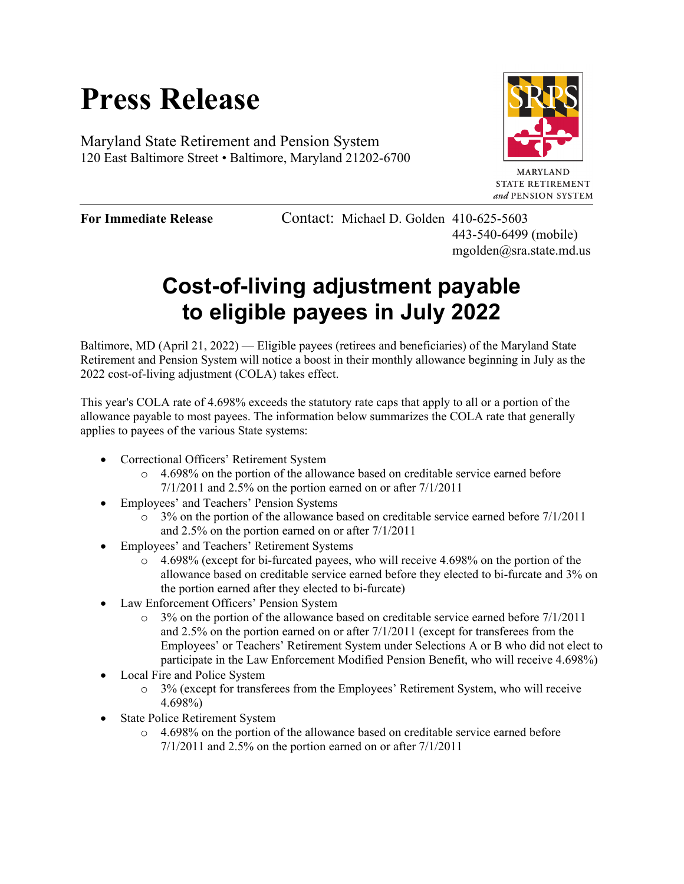# **Press Release**

Maryland State Retirement and Pension System 120 East Baltimore Street • Baltimore, Maryland 21202-6700



**MARYLAND STATE RETIREMENT** and PENSION SYSTEM

**For Immediate Release** Contact: Michael D. Golden 410-625-5603 443-540-6499 (mobile) mgolden@sra.state.md.us

## **Cost-of-living adjustment payable to eligible payees in July 2022**

Baltimore, MD (April 21, 2022) — Eligible payees (retirees and beneficiaries) of the Maryland State Retirement and Pension System will notice a boost in their monthly allowance beginning in July as the 2022 cost-of-living adjustment (COLA) takes effect.

This year's COLA rate of 4.698% exceeds the statutory rate caps that apply to all or a portion of the allowance payable to most payees. The information below summarizes the COLA rate that generally applies to payees of the various State systems:

- Correctional Officers' Retirement System
	- $\circ$  4.698% on the portion of the allowance based on creditable service earned before 7/1/2011 and 2.5% on the portion earned on or after 7/1/2011
- Employees' and Teachers' Pension Systems
	- $\circ$  3% on the portion of the allowance based on creditable service earned before 7/1/2011 and 2.5% on the portion earned on or after 7/1/2011
- Employees' and Teachers' Retirement Systems
	- $\circ$  4.698% (except for bi-furcated payees, who will receive 4.698% on the portion of the allowance based on creditable service earned before they elected to bi-furcate and 3% on the portion earned after they elected to bi-furcate)
- Law Enforcement Officers' Pension System
	- $\circ$  3% on the portion of the allowance based on creditable service earned before 7/1/2011 and 2.5% on the portion earned on or after 7/1/2011 (except for transferees from the Employees' or Teachers' Retirement System under Selections A or B who did not elect to participate in the Law Enforcement Modified Pension Benefit, who will receive 4.698%)
- Local Fire and Police System
	- o 3% (except for transferees from the Employees' Retirement System, who will receive 4.698%)
- State Police Retirement System
	- $\circ$  4.698% on the portion of the allowance based on creditable service earned before 7/1/2011 and 2.5% on the portion earned on or after 7/1/2011